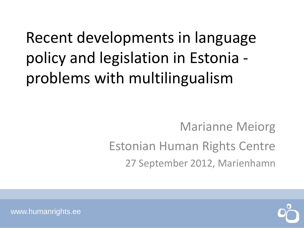## Recent developments in language policy and legislation in Estonia problems with multilingualism

#### Marianne Meiorg Estonian Human Rights Centre 27 September 2012, Marienhamn



www.humanrights.ee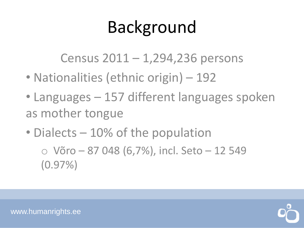# Background

Census 2011 – 1,294,236 persons

- Nationalities (ethnic origin) 192
- Languages 157 different languages spoken as mother tongue
- Dialects 10% of the population

 $\circ$  Võro – 87 048 (6,7%), incl. Seto – 12 549 (0.97%)



www.humanrights.ee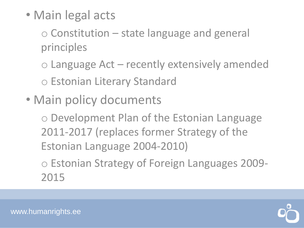• Main legal acts

o Constitution – state language and general principles

o Language Act – recently extensively amended o Estonian Literary Standard

• Main policy documents

o Development Plan of the Estonian Language 2011-2017 (replaces former Strategy of the Estonian Language 2004-2010)

o Estonian Strategy of Foreign Languages 2009- 2015

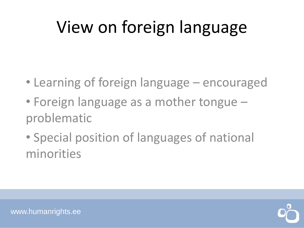# View on foreign language

- Learning of foreign language encouraged
- Foreign language as a mother tongue problematic
- Special position of languages of national minorities

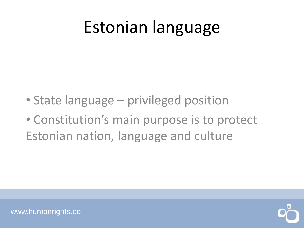### Estonian language

- State language privileged position
- Constitution's main purpose is to protect Estonian nation, language and culture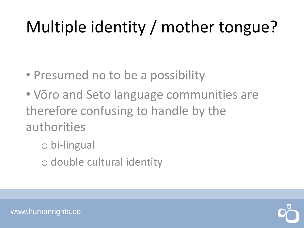# Multiple identity / mother tongue?

- Presumed no to be a possibility
- Võro and Seto language communities are therefore confusing to handle by the authorities
	- o bi-lingual
	- o double cultural identity

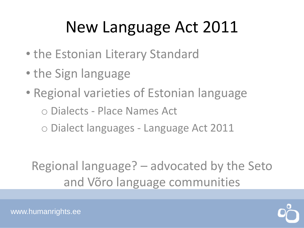# New Language Act 2011

- the Estonian Literary Standard
- the Sign language
- Regional varieties of Estonian language o Dialects - Place Names Act o Dialect languages - Language Act 2011

Regional language? – advocated by the Seto and Võro language communities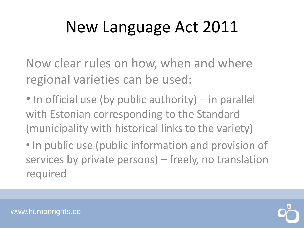## New Language Act 2011

Now clear rules on how, when and where regional varieties can be used:

- In official use (by public authority) in parallel with Estonian corresponding to the Standard (municipality with historical links to the variety)
- In public use (public information and provision of services by private persons) – freely, no translation required

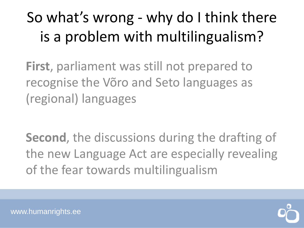#### So what's wrong - why do I think there is a problem with multilingualism?

**First**, parliament was still not prepared to recognise the Võro and Seto languages as (regional) languages

**Second**, the discussions during the drafting of the new Language Act are especially revealing of the fear towards multilingualism